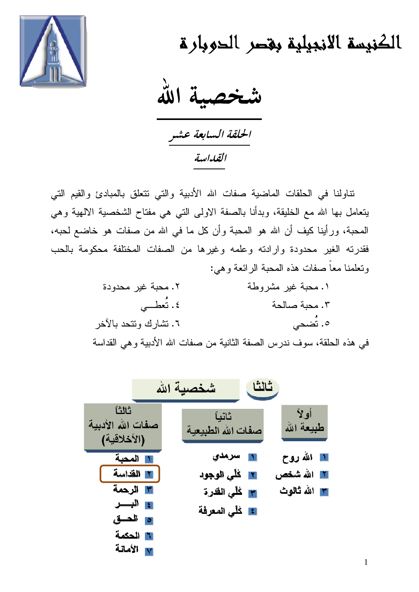

الكنيسة الانجيلية بقصر الحوبارة

عصبة الله

الحلقة السابعة عشر القداسة

نتاولنا في الحلقات الماضية صفات الله الأدبية والتي نتعلق بالمبادئ والقيم التي يتعامل بها الله مع الخليقة، وبدأنا بالصفة الاولى التي هي مفتاح الشخصية الالهية وهي المحبة، ورأينا كيف أن الله هو المحبة وأن كل ما في الله من صفات هو خاضع لحبه، فقدرته الغير محدودة وارادته وعلمه وغيرها من الصفات المختلفة محكومة بالحب وتعلمنا معاً صفات هذه المحبة الرائعة وهي:

| ٢. محبة غير محدودة    | ١. محبة غير مشروطة                                                      |
|-----------------------|-------------------------------------------------------------------------|
| ٤. تُعطــي            | ٠٣. محبة صالحة                                                          |
| ٦. تشارك وتتحد بالأخر | ٥. تُضحى                                                                |
|                       | في هذه الحلقة، سوف ندرس الصفة الثانية من صفات الله الأدبية و هي القداسة |

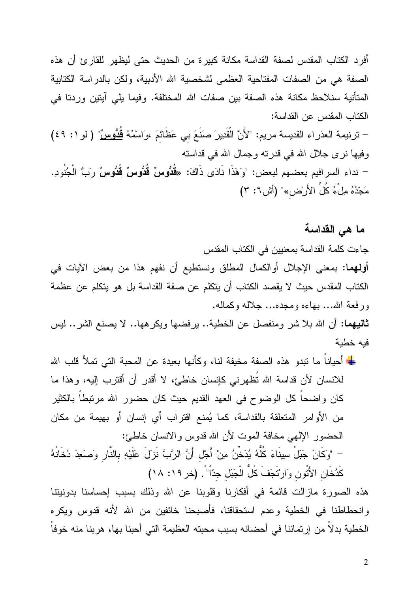أفرد الكتاب المقدس لصفة القداسة مكانة كبيرة من الحديث حتى ليظهر للقارئ أن هذه الصفة هي من الصفات المفتاحية العظمى لشخصية الله الأدبية، ولكن بالدراسة الكتابية المتأنية سنلاحظ مكانة هذه الصفة بين صفات الله المختلفة. وفيما يلي آيتين وردنا في الكتاب المقدس عن القداسة: - ترنيمة العذراء القديسة مريم: "لأَنَّ الْقَدِيرَ صَنَعَ بِي عَظَائِمَ ،وَاسْمُهُ <u>قُدُّوسٌ</u>" ( لو ١: ٤٩) وفيها نرى جلال الله في قدرته وجمال الله في قداسته

– نداء السرافيم بعضهم لبعض: "وَهَذَا نَادَى ذَاكَ: «<u>قُدُوسٌ قُدُوسٌ قُدُوسٌ وَ</u>بُّ الْجُنُودِ. مَجْدُهُ مِلْءُ كُلِّ الأَرْض»" (أش٦: ٣)

## ما هي القداسة

جاءت كلمة القداسة بمعنيين في الكتاب المقدس أولهما: بمعنى الإجلال أوالكمال المطلق ونستطيع أن نفهم هذا من بعض الأيات في الكتاب المقدس حيث لا يقصد الكتاب أن يتكلم عن صفة القداسة بل هو يتكلم عن عظمة ورفعة الله... بهاءه ومجده... جلاله وكماله.

**ثانيهما:** أن الله بلا شر ومنفصل عن الخطية.. يرفضها ويكرهها.. لا يصنع الشر.. ليس فبه خطبة

<mark>≢</mark> أحياناً ما نبدو هذه الصفة مخيفة لنا، وكأنها بعيدة عن المحبة التي تملأ قلب الله للانسان لأن قداسة الله تُظهرني كإنسان خاطئ، لا أقدر أن أقترب إليه، وهذا ما كان واضحاً كل الوضوح في العهد القديم حيث كان حضور الله مرتبطاً بالكثير من الأوامر المتعلقة بالقداسة، كما يُمنع اقتراب أي إنسان أو بهيمة من مكان الحضور الإلهي مخافة الموت لأن الله قدوس والانسان خاطئ: – "وكَانَ جَبَلُ سِينَاءَ كُلُّهُ يُدَخِّنُ مِنْ أَجْل أَنَّ الرَّبَّ نَزَلَ عَلَيْهِ بِالنَّارِ وَصَعِدَ دُخَانَهُ كَدُخَانِ الأَتُونِ وَارِتَجَفَ كُلُّ الْجَبَلِ جدّاً" . (خر ١٩: ١٨)

هذه الصورة مازالت قائمة في أفكارنا وقلوبنا عن الله وذلك بسبب إحساسنا بدونيتنا وانحطاطنا في الخطية وعدم استحقاقنا، فأصبحنا خائفين من الله لأنه قدوس ويكره الخطية بدلاً من إرتمائنا في أحضانه بسبب محبته العظيمة التي أحبنا بها، هربنا منه خوفاً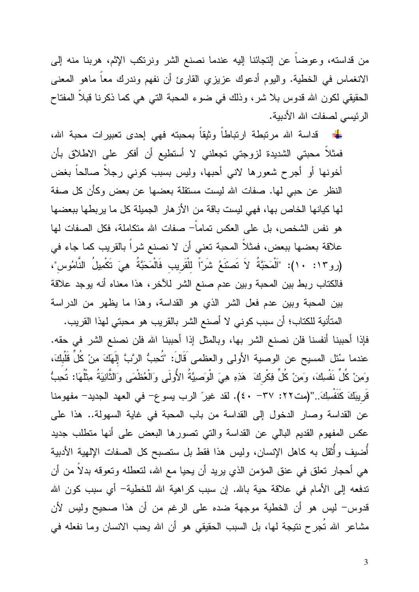من قداسته، وعوضاً عن التجائنا اليه عندما نصنع الشر ونرتكب الإثم، هربنا منه إلى الانغماس في الخطية. واليوم أدعوك عزيزي القارئ أن نفهم وندرك معاً ماهو المعنى الحقيقي لكون الله قدوس بلا شر، وذلك في ضوء المحبة التي هي كما ذكرنا قبلاً المفتاح الرئيسي لصفات الله الأدبية.

فمثلاً محبتي الشديدة لزوجتي تجعلني لا أستطيع أن أفكر على الاطلاق بأن أخونها أو أجرح شعورها لاني أحبها، وليس بسبب كوني رجلاً صالحاً بغض النظر عن حبي لها. صفات الله ليست مستقلة بعضها عن بعض وكأن كل صفة لها كيانها الخاص بها، فهي ليست باقة من الأزهار الجميلة كل ما يربطها ببعضها هو نفس الشخص، بل على العكس تماماً– صفات الله متكاملة، فكل الصفات لها علاقة بعضها ببعض، فمثلاً المحبة تعني أن لا نصنع شراً بالقريب كما جاء في (رو ١٣: ١٠): "اَلْمَحَبَّةُ لاَ تَصنَّعُ شَرّاً للْقَرِيبِ فَالْمَحَبَّةُ هِيَ تَكْمِيلُ النَّامُوسِ"، فالكتاب ربط بين المحبة وبين عدم صنع الشر للأخر، هذا معناه أنه يوجد علاقة بين المحبة وبين عدم فعل الشر الذي هو القداسة، وهذا ما يظهر من الدراسة

المتأنية للكتاب؛ أن سبب كوني لا أصنع الشر بالقريب هو محبتي لهذا القريب. فإذا أحببنا أنفسنا فلن نصنع الشر بها، وبالمثل إذا أحببنا الله فلن نصنع الشر في حقه. عندما سُئل المسيح عن الوصية الأولى والعظمى قَالَ: "تُحِبُّ الرَّبَّ إِلَهَكَ مِنْ كُلِّ قَلْبِكَ، وَمِنْ كُلِّ نَفْسِكَ، وَمِنْ كُلِّ فِكْرِكَ ۚ هَذِهِ هِيَ الْوَصِيَّةُ الأُولَى وَالْعُظْمَى وَالثَّانِيَةُ مِثْلُهَا: تُحِبُّ قَرِيبَكَ كَنَفْسِكَ..''(مت٢٢: ٣٧ - ٤٠). لقد غير ً الرب يسو ع– في العهد الجديد– مفهومنا عن القداسة وصار الدخول إلى القداسة من باب المحبة في غاية السهولة.. هذا على عكس المفهوم القديم البالي عن القداسة والتي تصورها البعض على أنها متطلب جديد أضبف وأثقل به كاهل الإنسان، وليس هذا فقط بل ستصبح كل الصفات الإلهية الأدبية هي أحجار تعلَّق في عنق المؤمن الذي يريد أن يحيا مع الله، لتعطله وتعوفه بدلاً من أن ندفعه إلى الأمام في علاقة حية بالله. إن سبب كراهية الله للخطية– أي سبب كون الله قدوس- ليس هو أن الخطية موجهة ضده على الرغم من أن هذا صحيح وليس لأن مشاعر الله تجرح نتيجة لها، بل السبب الحقيقي هو أن الله يحب الانسان وما نفعله في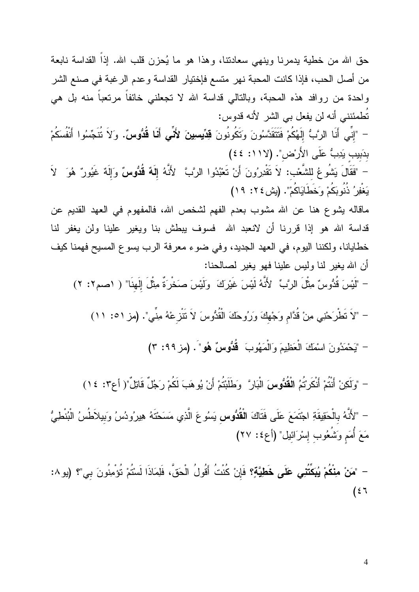حق الله من خطية يدمرنا وينهي سعادنتا، وهذا هو ما يُحزن قلب الله. إذاً القداسة نابعة من أصل الحب، فإذا كانت المحبة نهر متسع فإختيار القداسة وعدم الرغبة في صنع الشر واحدة من روافد هذه المحبة، وبالنالي قداسة الله لا نجعلني خائفا مرنعبا منه بل هي تُطمئنني أنه لن يفعل بي الشر لأنه قدوس:

– "إِنِّى أَنَا الرَّبُّ إِلَهُكُمْ فَتَتَقَدَّسُونَ وَتَكُونُونَ **قِدِّيسِينَ لأَنِّى أَنَا قُدُّوسٌ.** وَلاَ تُتَجِّسُوا أَنْفُسَكُمْ بدَبيب يَدِبُّ عَلَى الأَرْضِ". (لان ١١٧)

- "فَقَالَ يَشُوعُ للشَّعْب: لاَ تَقْدِرُونَ أَنْ تَعْبُدُوا الرَّبَّ لأَنَّهُ إِلَهٌ قُدُّوسٌ وَإِلَهٌ غَيُورٌ هُوَ لاَ يَغْفِرُ ۖ ذُنُوبَكُمْ وَخَطَايَاكُمْ". (يش ٢٤: ١٩)

ماقاله يشوع هنا عن الله مشوب بعدم الفهم لشخص الله، فالمفهوم في العهد القديم عن قداسة الله هو إذا قررنا أن لانعبد الله فسوف يبطش بنا ويغير علينا ولن يغفر لنا خطايانا، ولكننا اليوم، في العهد الجديد، وفي ضوء معرفة الرب يسوع المسيح فهمنا كيف أن الله يغير لنا وليس علينا فهو يغير لصالحنا:

– "لَيْسَ قُدُّوسٌ مِثْلَ الرَّبِّ لأَنَّهُ لَيْسَ غَيْرِكَ ۚ وَلَيْسَ صَخْرَةٌ مِثْلَ إِلَهنَا" ( ١صم٢: ٢)

- "لَا تَطْرَحْنِي مِنْ قُدَّامٍ وَجْهِكَ وَرَوحَكَ الْقُدُّوسَ لاَ تَتْزِعْهُ مِنِّي". (مز ٥١: ١١)

- "يَحْمَدُونَ اسْمَكَ الْعَظِيمَ وَالْمَهُوبَ ۚ قُدُّوسٌ هُو"َ. (مز ٩٩: ٣)

- "وَلَكِنْ أَنْتُمْ أَنْكَرْتُمُ الْقُدُّوسَ الْبَارَ" وَطَلَبْتُمْ أَنْ يُوهَبَ لَكُمْ رَجُلٌ قَاتِلٌ"( أع٣: ١٤)

– "لأَنَّهُ بِالْحَقِيقَةِ اجْتَمَعَ عَلَى فَتَاكَ الْقُدُّوس يَسُوعَ الَّذِي مَسَحْتَهُ هِيرُودُسُ وَبيلاَطُسُ الْبُنْطِيُّ مَعَ أُمَم وَتَشُعُوب إِسْرَائيل" (أع٤: ٢٧)

– "مَنْ مِنْكُمْ يُبَكِّتُنِي عَلَى خَطِيَّةٍ؟ فَإِنْ كُنْتُ أَقُولُ الْحَقَّ، فَلِمَاذَا لَسْتُمْ تُؤْمِنُونَ بي"؟ (يو ٨:  $(57)$